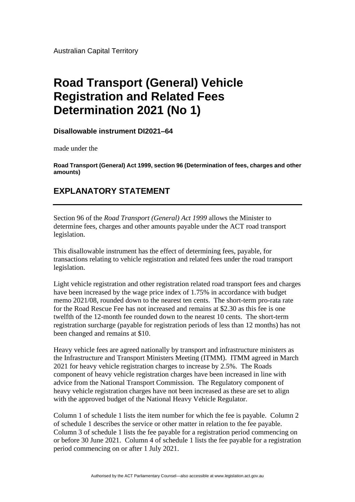Australian Capital Territory

## **Road Transport (General) Vehicle Registration and Related Fees Determination 2021 (No 1)**

**Disallowable instrument DI2021–64**

made under the

**Road Transport (General) Act 1999, section 96 (Determination of fees, charges and other amounts)**

## **EXPLANATORY STATEMENT**

Section 96 of the *Road Transport (General) Act 1999* allows the Minister to determine fees, charges and other amounts payable under the ACT road transport legislation.

This disallowable instrument has the effect of determining fees, payable, for transactions relating to vehicle registration and related fees under the road transport legislation.

Light vehicle registration and other registration related road transport fees and charges have been increased by the wage price index of 1.75% in accordance with budget memo 2021/08, rounded down to the nearest ten cents. The short-term pro-rata rate for the Road Rescue Fee has not increased and remains at \$2.30 as this fee is one twelfth of the 12-month fee rounded down to the nearest 10 cents. The short-term registration surcharge (payable for registration periods of less than 12 months) has not been changed and remains at \$10.

Heavy vehicle fees are agreed nationally by transport and infrastructure ministers as the Infrastructure and Transport Ministers Meeting (ITMM). ITMM agreed in March 2021 for heavy vehicle registration charges to increase by 2.5%. The Roads component of heavy vehicle registration charges have been increased in line with advice from the National Transport Commission. The Regulatory component of heavy vehicle registration charges have not been increased as these are set to align with the approved budget of the National Heavy Vehicle Regulator.

Column 1 of schedule 1 lists the item number for which the fee is payable. Column 2 of schedule 1 describes the service or other matter in relation to the fee payable. Column 3 of schedule 1 lists the fee payable for a registration period commencing on or before 30 June 2021. Column 4 of schedule 1 lists the fee payable for a registration period commencing on or after 1 July 2021.